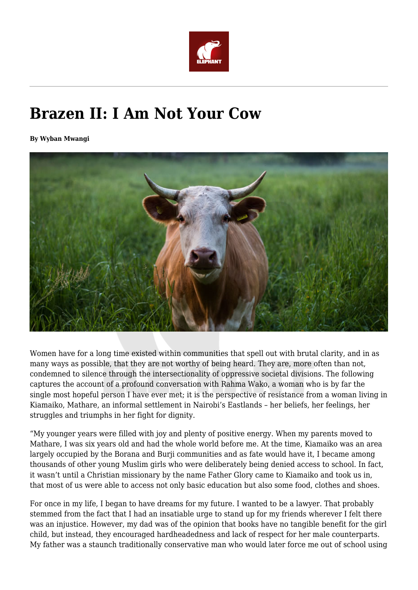

## **Brazen II: I Am Not Your Cow**

**By Wyban Mwangi**



Women have for a long time existed within communities that spell out with brutal clarity, and in as many ways as possible, that they are not worthy of being heard. They are, more often than not, condemned to silence through the intersectionality of oppressive societal divisions. The following captures the account of a profound conversation with Rahma Wako, a woman who is by far the single most hopeful person I have ever met; it is the perspective of resistance from a woman living in Kiamaiko, Mathare, an informal settlement in Nairobi's Eastlands – her beliefs, her feelings, her struggles and triumphs in her fight for dignity.

"My younger years were filled with joy and plenty of positive energy. When my parents moved to Mathare, I was six years old and had the whole world before me. At the time, Kiamaiko was an area largely occupied by the Borana and Burji communities and as fate would have it, I became among thousands of other young Muslim girls who were deliberately being denied access to school. In fact, it wasn't until a Christian missionary by the name Father Glory came to Kiamaiko and took us in, that most of us were able to access not only basic education but also some food, clothes and shoes.

For once in my life, I began to have dreams for my future. I wanted to be a lawyer. That probably stemmed from the fact that I had an insatiable urge to stand up for my friends wherever I felt there was an injustice. However, my dad was of the opinion that books have no tangible benefit for the girl child, but instead, they encouraged hardheadedness and lack of respect for her male counterparts. My father was a staunch traditionally conservative man who would later force me out of school using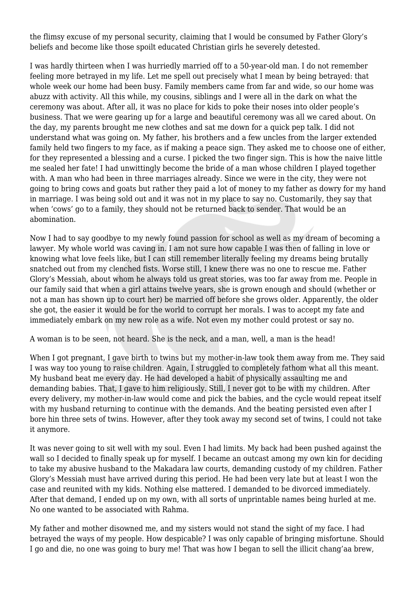the flimsy excuse of my personal security, claiming that I would be consumed by Father Glory's beliefs and become like those spoilt educated Christian girls he severely detested.

I was hardly thirteen when I was hurriedly married off to a 50-year-old man. I do not remember feeling more betrayed in my life. Let me spell out precisely what I mean by being betrayed: that whole week our home had been busy. Family members came from far and wide, so our home was abuzz with activity. All this while, my cousins, siblings and I were all in the dark on what the ceremony was about. After all, it was no place for kids to poke their noses into older people's business. That we were gearing up for a large and beautiful ceremony was all we cared about. On the day, my parents brought me new clothes and sat me down for a quick pep talk. I did not understand what was going on. My father, his brothers and a few uncles from the larger extended family held two fingers to my face, as if making a peace sign. They asked me to choose one of either, for they represented a blessing and a curse. I picked the two finger sign. This is how the naive little me sealed her fate! I had unwittingly become the bride of a man whose children I played together with. A man who had been in three marriages already. Since we were in the city, they were not going to bring cows and goats but rather they paid a lot of money to my father as dowry for my hand in marriage. I was being sold out and it was not in my place to say no. Customarily, they say that when 'cows' go to a family, they should not be returned back to sender. That would be an abomination.

Now I had to say goodbye to my newly found passion for school as well as my dream of becoming a lawyer. My whole world was caving in. I am not sure how capable I was then of falling in love or knowing what love feels like, but I can still remember literally feeling my dreams being brutally snatched out from my clenched fists. Worse still, I knew there was no one to rescue me. Father Glory's Messiah, about whom he always told us great stories, was too far away from me. People in our family said that when a girl attains twelve years, she is grown enough and should (whether or not a man has shown up to court her) be married off before she grows older. Apparently, the older she got, the easier it would be for the world to corrupt her morals. I was to accept my fate and immediately embark on my new role as a wife. Not even my mother could protest or say no.

A woman is to be seen, not heard. She is the neck, and a man, well, a man is the head!

When I got pregnant, I gave birth to twins but my mother-in-law took them away from me. They said I was way too young to raise children. Again, I struggled to completely fathom what all this meant. My husband beat me every day. He had developed a habit of physically assaulting me and demanding babies. That, I gave to him religiously. Still, I never got to be with my children. After every delivery, my mother-in-law would come and pick the babies, and the cycle would repeat itself with my husband returning to continue with the demands. And the beating persisted even after I bore hin three sets of twins. However, after they took away my second set of twins, I could not take it anymore.

It was never going to sit well with my soul. Even I had limits. My back had been pushed against the wall so I decided to finally speak up for myself. I became an outcast among my own kin for deciding to take my abusive husband to the Makadara law courts, demanding custody of my children. Father Glory's Messiah must have arrived during this period. He had been very late but at least I won the case and reunited with my kids. Nothing else mattered. I demanded to be divorced immediately. After that demand, I ended up on my own, with all sorts of unprintable names being hurled at me. No one wanted to be associated with Rahma.

My father and mother disowned me, and my sisters would not stand the sight of my face. I had betrayed the ways of my people. How despicable? I was only capable of bringing misfortune. Should I go and die, no one was going to bury me! That was how I began to sell the illicit chang'aa brew,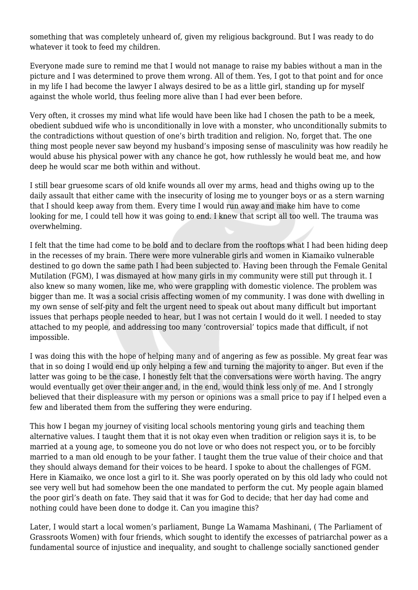something that was completely unheard of, given my religious background. But I was ready to do whatever it took to feed my children.

Everyone made sure to remind me that I would not manage to raise my babies without a man in the picture and I was determined to prove them wrong. All of them. Yes, I got to that point and for once in my life I had become the lawyer I always desired to be as a little girl, standing up for myself against the whole world, thus feeling more alive than I had ever been before.

Very often, it crosses my mind what life would have been like had I chosen the path to be a meek, obedient subdued wife who is unconditionally in love with a monster, who unconditionally submits to the contradictions without question of one's birth tradition and religion. No, forget that. The one thing most people never saw beyond my husband's imposing sense of masculinity was how readily he would abuse his physical power with any chance he got, how ruthlessly he would beat me, and how deep he would scar me both within and without.

I still bear gruesome scars of old knife wounds all over my arms, head and thighs owing up to the daily assault that either came with the insecurity of losing me to younger boys or as a stern warning that I should keep away from them. Every time I would run away and make him have to come looking for me, I could tell how it was going to end. I knew that script all too well. The trauma was overwhelming.

I felt that the time had come to be bold and to declare from the rooftops what I had been hiding deep in the recesses of my brain. There were more vulnerable girls and women in Kiamaiko vulnerable destined to go down the same path I had been subjected to. Having been through the Female Genital Mutilation (FGM), I was dismayed at how many girls in my community were still put through it. I also knew so many women, like me, who were grappling with domestic violence. The problem was bigger than me. It was a social crisis affecting women of my community. I was done with dwelling in my own sense of self-pity and felt the urgent need to speak out about many difficult but important issues that perhaps people needed to hear, but I was not certain I would do it well. I needed to stay attached to my people, and addressing too many 'controversial' topics made that difficult, if not impossible.

I was doing this with the hope of helping many and of angering as few as possible. My great fear was that in so doing I would end up only helping a few and turning the majority to anger. But even if the latter was going to be the case, I honestly felt that the conversations were worth having. The angry would eventually get over their anger and, in the end, would think less only of me. And I strongly believed that their displeasure with my person or opinions was a small price to pay if I helped even a few and liberated them from the suffering they were enduring.

This how I began my journey of visiting local schools mentoring young girls and teaching them alternative values. I taught them that it is not okay even when tradition or religion says it is, to be married at a young age, to someone you do not love or who does not respect you, or to be forcibly married to a man old enough to be your father. I taught them the true value of their choice and that they should always demand for their voices to be heard. I spoke to about the challenges of FGM. Here in Kiamaiko, we once lost a girl to it. She was poorly operated on by this old lady who could not see very well but had somehow been the one mandated to perform the cut. My people again blamed the poor girl's death on fate. They said that it was for God to decide; that her day had come and nothing could have been done to dodge it. Can you imagine this?

Later, I would start a local women's parliament, Bunge La Wamama Mashinani, ( The Parliament of Grassroots Women) with four friends, which sought to identify the excesses of patriarchal power as a fundamental source of injustice and inequality, and sought to challenge socially sanctioned gender